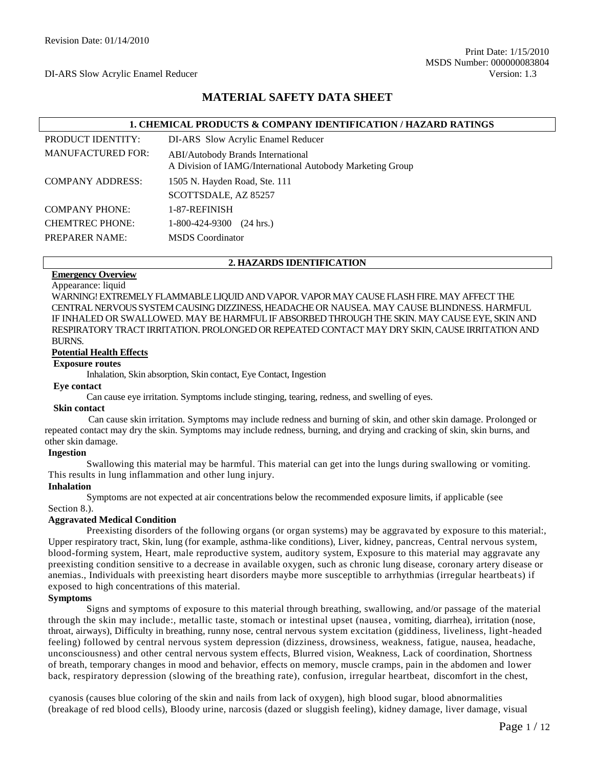# **MATERIAL SAFETY DATA SHEET**

|                          | <b>1. CHEMICAL PRODUCTS &amp; COMPANY IDENTIFICATION / HAZARD RATINGS</b>                             |
|--------------------------|-------------------------------------------------------------------------------------------------------|
| <b>PRODUCT IDENTITY:</b> | DI-ARS Slow Acrylic Enamel Reducer                                                                    |
| <b>MANUFACTURED FOR:</b> | <b>ABI/Autobody Brands International</b><br>A Division of IAMG/International Autobody Marketing Group |
| <b>COMPANY ADDRESS:</b>  | 1505 N. Hayden Road, Ste. 111                                                                         |
|                          | SCOTTSDALE, AZ 85257                                                                                  |
| <b>COMPANY PHONE:</b>    | 1-87-REFINISH                                                                                         |
| <b>CHEMTREC PHONE:</b>   | 1-800-424-9300<br>$(24 \text{ hrs.})$                                                                 |
| <b>PREPARER NAME:</b>    | <b>MSDS</b> Coordinator                                                                               |

#### **2. HAZARDS IDENTIFICATION**

# **Emergency Overview**

Appearance: liquid

WARNING! EXTREMELY FLAMMABLE LIQUID AND VAPOR. VAPOR MAY CAUSE FLASH FIRE. MAY AFFECT THE CENTRAL NERVOUS SYSTEM CAUSING DIZZINESS, HEADACHE OR NAUSEA. MAY CAUSE BLINDNESS. HARMFUL IF INHALED OR SWALLOWED. MAY BE HARMFUL IF ABSORBED THROUGH THE SKIN. MAY CAUSE EYE, SKIN AND RESPIRATORY TRACT IRRITATION. PROLONGED OR REPEATED CONTACT MAY DRY SKIN, CAUSE IRRITATION AND BURNS.

#### **Potential Health Effects**

#### **Exposure routes**

Inhalation, Skin absorption, Skin contact, Eye Contact, Ingestion

#### **Eye contact**

Can cause eye irritation. Symptoms include stinging, tearing, redness, and swelling of eyes.

#### **Skin contact**

Can cause skin irritation. Symptoms may include redness and burning of skin, and other skin damage. Prolonged or repeated contact may dry the skin. Symptoms may include redness, burning, and drying and cracking of skin, skin burns, and other skin damage.

#### **Ingestion**

Swallowing this material may be harmful. This material can get into the lungs during swallowing or vomiting. This results in lung inflammation and other lung injury.

#### **Inhalation**

Symptoms are not expected at air concentrations below the recommended exposure limits, if applicable (see Section 8.).

#### **Aggravated Medical Condition**

Preexisting disorders of the following organs (or organ systems) may be aggrava ted by exposure to this material:, Upper respiratory tract, Skin, lung (for example, asthma-like conditions), Liver, kidney, pancreas, Central nervous system, blood-forming system, Heart, male reproductive system, auditory system, Exposure to this material may aggravate any preexisting condition sensitive to a decrease in available oxygen, such as chronic lung disease, coronary artery disease or anemias., Individuals with preexisting heart disorders maybe more susceptible to arrhythmias (irregular heartbeats) if exposed to high concentrations of this material.

#### **Symptoms**

Signs and symptoms of exposure to this material through breathing, swallowing, and/or passage of the material through the skin may include:, metallic taste, stomach or intestinal upset (nausea , vomiting, diarrhea), irritation (nose, throat, airways), Difficulty in breathing, runny nose, central nervous system excitation (giddiness, liveliness, light-headed feeling) followed by central nervous system depression (dizziness, drowsiness, weakness, fatigue, nausea, headache, unconsciousness) and other central nervous system effects, Blurred vision, Weakness, Lack of coordination, Shortness of breath, temporary changes in mood and behavior, effects on memory, muscle cramps, pain in the abdomen and lower back, respiratory depression (slowing of the breathing rate), confusion, irregular heartbeat, discomfort in the chest,

cyanosis (causes blue coloring of the skin and nails from lack of oxygen), high blood sugar, blood abnormalities (breakage of red blood cells), Bloody urine, narcosis (dazed or sluggish feeling), kidney damage, liver damage, visual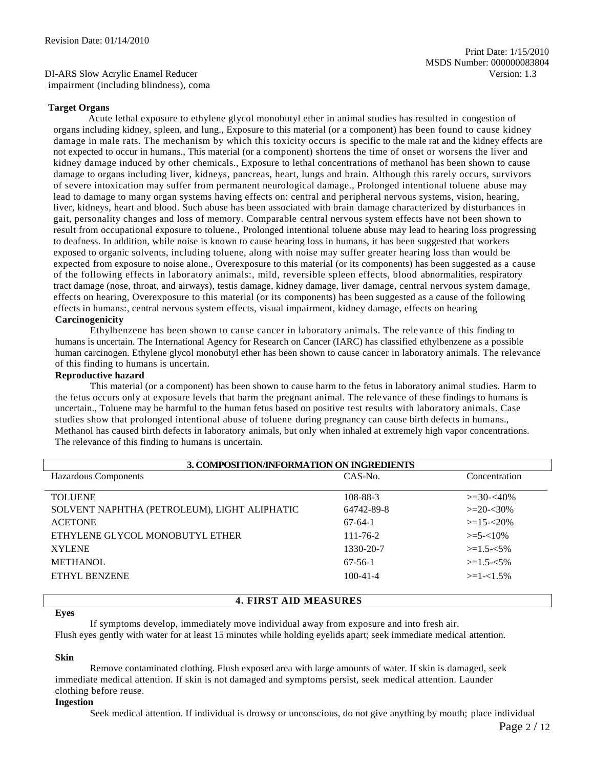DI-ARS Slow Acrylic Enamel Reducer Version: 1.3 impairment (including blindness), coma

#### **Target Organs**

Acute lethal exposure to ethylene glycol monobutyl ether in animal studies has resulted in congestion of organs including kidney, spleen, and lung., Exposure to this material (or a component) has been found to cause kidney damage in male rats. The mechanism by which this toxicity occurs is specific to the male rat and the kidney effects are not expected to occur in humans., This material (or a component) shortens the time of onset or worsens the liver and kidney damage induced by other chemicals., Exposure to lethal concentrations of methanol has been shown to cause damage to organs including liver, kidneys, pancreas, heart, lungs and brain. Although this rarely occurs, survivors of severe intoxication may suffer from permanent neurological damage., Prolonged intentional toluene abuse may lead to damage to many organ systems having effects on: central and peripheral nervous systems, vision, hearing, liver, kidneys, heart and blood. Such abuse has been associated with brain damage characterized by disturbances in gait, personality changes and loss of memory. Comparable central nervous system effects have not been shown to result from occupational exposure to toluene., Prolonged intentional toluene abuse may lead to hearing loss progressing to deafness. In addition, while noise is known to cause hearing loss in humans, it has been suggested that workers exposed to organic solvents, including toluene, along with noise may suffer greater hearing loss than would be expected from exposure to noise alone., Overexposure to this material (or its components) has been suggested as a cause of the following effects in laboratory animals:, mild, reversible spleen effects, blood abnormalities, respiratory tract damage (nose, throat, and airways), testis damage, kidney damage, liver damage, central nervous system damage, effects on hearing, Overexposure to this material (or its components) has been suggested as a cause of the following effects in humans:, central nervous system effects, visual impairment, kidney damage, effects on hearing **Carcinogenicity**

Ethylbenzene has been shown to cause cancer in laboratory animals. The rele vance of this finding to humans is uncertain. The International Agency for Research on Cancer (IARC) has classified ethylbenzene as a possible human carcinogen. Ethylene glycol monobutyl ether has been shown to cause cancer in laboratory animals. The relevance of this finding to humans is uncertain.

#### **Reproductive hazard**

This material (or a component) has been shown to cause harm to the fetus in laboratory animal studies. Harm to the fetus occurs only at exposure levels that harm the pregnant animal. The relevance of these findings to humans is uncertain., Toluene may be harmful to the human fetus based on positive test results with laboratory animals. Case studies show that prolonged intentional abuse of toluene during pregnancy can cause birth defects in humans., Methanol has caused birth defects in laboratory animals, but only when inhaled at extremely high vapor concentrations. The relevance of this finding to humans is uncertain.

| 3. COMPOSITION/INFORMATION ON INGREDIENTS    |                |                  |  |
|----------------------------------------------|----------------|------------------|--|
| <b>Hazardous Components</b>                  | CAS-No.        | Concentration    |  |
|                                              |                |                  |  |
| <b>TOLUENE</b>                               | 108-88-3       | $\geq 30 - 40\%$ |  |
| SOLVENT NAPHTHA (PETROLEUM), LIGHT ALIPHATIC | 64742-89-8     | $>=20-30%$       |  |
| <b>ACETONE</b>                               | $67-64-1$      | $>=15 - 20\%$    |  |
| ETHYLENE GLYCOL MONOBUTYL ETHER              | $111 - 76 - 2$ | $>=$ 5- $<$ 10%  |  |
| <b>XYLENE</b>                                | 1330-20-7      | $>=1.5 - 5\%$    |  |
| <b>METHANOL</b>                              | $67-56-1$      | $>=1.5 - 5\%$    |  |
| ETHYL BENZENE                                | $100 - 41 - 4$ | $>=1-1.5%$       |  |
|                                              |                |                  |  |

#### **4. FIRST AID MEASURES**

#### **Eyes**

If symptoms develop, immediately move individual away from exposure and into fresh air.

Flush eyes gently with water for at least 15 minutes while holding eyelids apart; seek immediate medical attention.

#### **Skin**

Remove contaminated clothing. Flush exposed area with large amounts of water. If skin is damaged, seek immediate medical attention. If skin is not damaged and symptoms persist, seek medical attention. Launder clothing before reuse.

#### **Ingestion**

Seek medical attention. If individual is drowsy or unconscious, do not give anything by mouth; place individual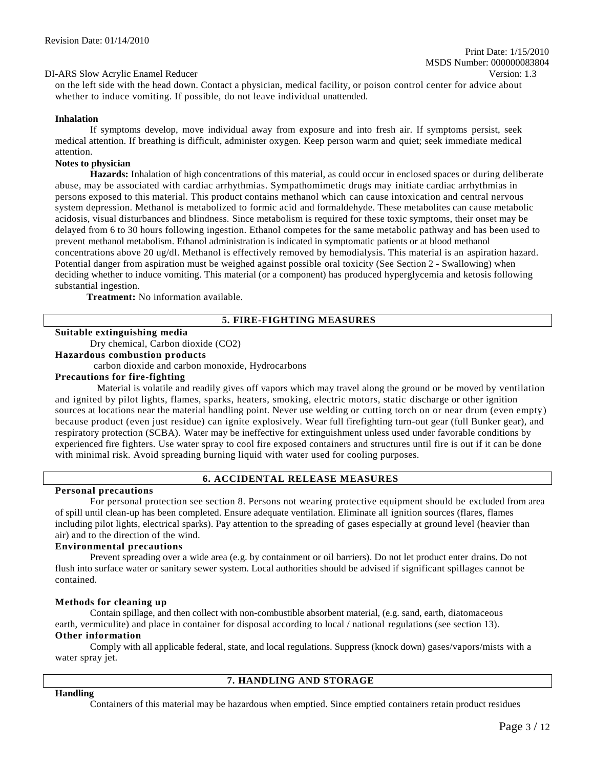# Print Date: 1/15/2010 MSDS Number: 000000083804

DI-ARS Slow Acrylic Enamel Reducer Version: 1.3

on the left side with the head down. Contact a physician, medical facility, or poison control center for advice about whether to induce vomiting. If possible, do not leave individual unattended.

#### **Inhalation**

If symptoms develop, move individual away from exposure and into fresh air. If symptoms persist, seek medical attention. If breathing is difficult, administer oxygen. Keep person warm and quiet; seek immediate medical attention.

#### **Notes to physician**

**Hazards:** Inhalation of high concentrations of this material, as could occur in enclosed spaces or during deliberate abuse, may be associated with cardiac arrhythmias. Sympathomimetic drugs may initiate cardiac arrhythmias in persons exposed to this material. This product contains methanol which can cause intoxication and central nervous system depression. Methanol is metabolized to formic acid and formaldehyde. These metabolites can cause metabolic acidosis, visual disturbances and blindness. Since metabolism is required for these toxic symptoms, their onset may be delayed from 6 to 30 hours following ingestion. Ethanol competes for the same metabolic pathway and has been used to prevent methanol metabolism. Ethanol administration is indicated in symptomatic patients or at blood methanol concentrations above 20 ug/dl. Methanol is effectively removed by hemodialysis. This material is an aspiration hazard. Potential danger from aspiration must be weighed against possible oral toxicity (See Section 2 - Swallowing) when deciding whether to induce vomiting. This material (or a component) has produced hyperglycemia and ketosis following substantial ingestion.

**Treatment:** No information available.

#### **5. FIRE-FIGHTING MEASURES**

#### **Suitable extinguishing media**

Dry chemical, Carbon dioxide (CO2)

**Hazardous combustion products**

carbon dioxide and carbon monoxide, Hydrocarbons

#### **Precautions for fire-fighting**

Material is volatile and readily gives off vapors which may travel along the ground or be moved by ventilation and ignited by pilot lights, flames, sparks, heaters, smoking, electric motors, static discharge or other ignition sources at locations near the material handling point. Never use welding or cutting torch on or near drum (even empty) because product (even just residue) can ignite explosively. Wear full firefighting turn-out gear (full Bunker gear), and respiratory protection (SCBA). Water may be ineffective for extinguishment unless used under favorable conditions by experienced fire fighters. Use water spray to cool fire exposed containers and structures until fire is out if it can be done with minimal risk. Avoid spreading burning liquid with water used for cooling purposes.

#### **6. ACCIDENTAL RELEASE MEASURES**

#### **Personal precautions**

For personal protection see section 8. Persons not wearing protective equipment should be excluded from area of spill until clean-up has been completed. Ensure adequate ventilation. Eliminate all ignition sources (flares, flames including pilot lights, electrical sparks). Pay attention to the spreading of gases especially at ground level (heavier than air) and to the direction of the wind.

#### **Environmental precautions**

Prevent spreading over a wide area (e.g. by containment or oil barriers). Do not let product enter drains. Do not flush into surface water or sanitary sewer system. Local authorities should be advised if significant spillages cannot be contained.

#### **Methods for cleaning up**

**Handling**

Contain spillage, and then collect with non-combustible absorbent material, (e.g. sand, earth, diatomaceous earth, vermiculite) and place in container for disposal according to local / national regulations (see section 13). **Other information**

Comply with all applicable federal, state, and local regulations. Suppress (knock down) gases/vapors/mists with a water spray jet.

#### **7. HANDLING AND STORAGE**

Containers of this material may be hazardous when emptied. Since emptied containers retain product residues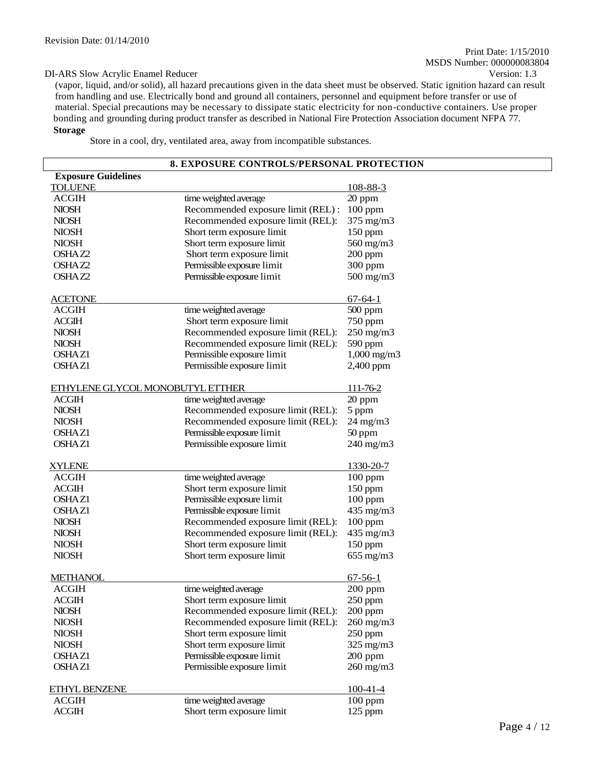(vapor, liquid, and/or solid), all hazard precautions given in the data sheet must be observed. Static ignition hazard can result from handling and use. Electrically bond and ground all containers, personnel and equipment before transfer or use of material. Special precautions may be necessary to dissipate static electricity for non-conductive containers. Use proper bonding and grounding during product transfer as described in National Fire Protection Association document NFPA 77. **Storage**

Store in a cool, dry, ventilated area, away from incompatible substances.

|                                  | 8. EXPOSURE CONTROLS/PERSONAL PROTECTION |                   |
|----------------------------------|------------------------------------------|-------------------|
| <b>Exposure Guidelines</b>       |                                          |                   |
| <b>TOLUENE</b>                   |                                          | 108-88-3          |
| <b>ACGIH</b>                     | time weighted average                    | 20 ppm            |
| <b>NIOSH</b>                     | Recommended exposure limit (REL) :       | $100$ ppm         |
| <b>NIOSH</b>                     | Recommended exposure limit (REL):        | $375$ mg/m $3$    |
| <b>NIOSH</b>                     | Short term exposure limit                | $150$ ppm         |
| <b>NIOSH</b>                     | Short term exposure limit                | 560 mg/m3         |
| OSHAZ2                           | Short term exposure limit                | $200$ ppm         |
| OSHAZ2                           | Permissible exposure limit               | 300 ppm           |
| OSHAZ2                           | Permissible exposure limit               | 500 mg/m3         |
|                                  |                                          |                   |
| <b>ACETONE</b>                   |                                          | $67 - 64 - 1$     |
| <b>ACGIH</b>                     | time weighted average                    | 500 ppm           |
| <b>ACGIH</b>                     | Short term exposure limit                | 750 ppm           |
| <b>NIOSH</b>                     | Recommended exposure limit (REL):        | $250$ mg/m $3$    |
| <b>NIOSH</b>                     | Recommended exposure limit (REL):        | 590 ppm           |
| <b>OSHAZ1</b>                    | Permissible exposure limit               | $1,000$ mg/m $3$  |
| <b>OSHAZ1</b>                    | Permissible exposure limit               | 2,400 ppm         |
|                                  |                                          |                   |
| ETHYLENE GLYCOL MONOBUTYL ETTHER |                                          | 111-76-2          |
| <b>ACGIH</b>                     | time weighted average                    | 20 ppm            |
| <b>NIOSH</b>                     | Recommended exposure limit (REL):        | 5 ppm             |
| <b>NIOSH</b>                     | Recommended exposure limit (REL):        | $24 \text{ mg/m}$ |
| OSHAZ1                           | Permissible exposure limit               | 50 ppm            |
| <b>OSHAZ1</b>                    | Permissible exposure limit               | 240 mg/m3         |
|                                  |                                          |                   |
| <b>XYLENE</b>                    |                                          | 1330-20-7         |
| <b>ACGIH</b>                     | time weighted average                    | $100$ ppm         |
| <b>ACGIH</b>                     | Short term exposure limit                | $150$ ppm         |
| <b>OSHAZ1</b>                    | Permissible exposure limit               | $100$ ppm         |
| <b>OSHAZ1</b>                    | Permissible exposure limit               | 435 mg/m3         |
| <b>NIOSH</b>                     | Recommended exposure limit (REL):        | $100$ ppm         |
| <b>NIOSH</b>                     | Recommended exposure limit (REL):        | 435 mg/m3         |
| <b>NIOSH</b>                     | Short term exposure limit                | $150$ ppm         |
| <b>NIOSH</b>                     | Short term exposure limit                | $655$ mg/m $3$    |
|                                  |                                          |                   |
| <b>METHANOL</b>                  |                                          | $67 - 56 - 1$     |
| <b>ACGIH</b>                     | time weighted average                    | 200 ppm           |
| <b>ACGIH</b>                     | Short term exposure limit                | $250$ ppm         |
| <b>NIOSH</b>                     | Recommended exposure limit (REL):        | $200$ ppm         |
| <b>NIOSH</b>                     | Recommended exposure limit (REL):        | $260$ mg/m $3$    |
| <b>NIOSH</b>                     | Short term exposure limit                | $250$ ppm         |
| <b>NIOSH</b>                     | Short term exposure limit                | 325 mg/m3         |
| OSHAZ1                           | Permissible exposure limit               | $200$ ppm         |
| <b>OSHAZ1</b>                    | Permissible exposure limit               | $260$ mg/m $3$    |
|                                  |                                          |                   |
| ETHYL BENZENE                    |                                          | $100 - 41 - 4$    |
| <b>ACGIH</b>                     | time weighted average                    | $100$ ppm         |
| <b>ACGIH</b>                     | Short term exposure limit                | $125$ ppm         |
|                                  |                                          |                   |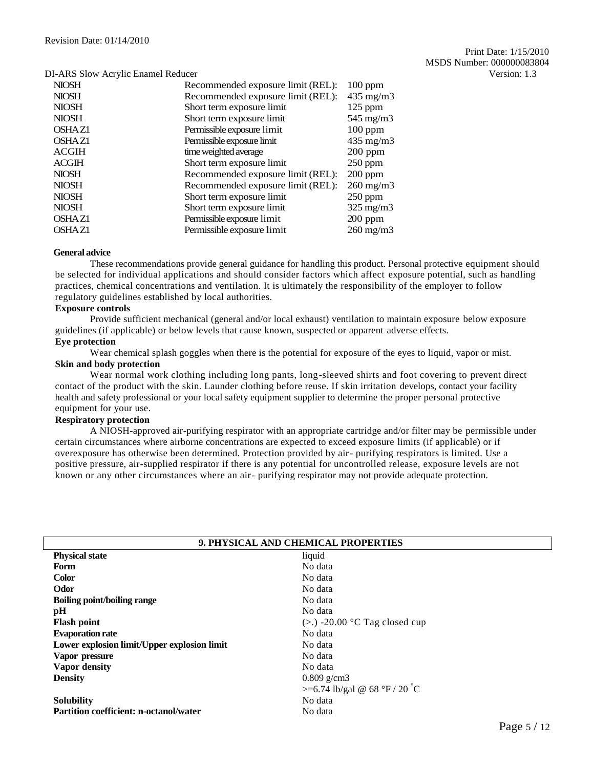| 1 THUS STOW THE THE EMANDER RECEIVED |                                   |                    |
|--------------------------------------|-----------------------------------|--------------------|
| <b>NIOSH</b>                         | Recommended exposure limit (REL): | $100$ ppm          |
| <b>NIOSH</b>                         | Recommended exposure limit (REL): | $435 \text{ mg/m}$ |
| <b>NIOSH</b>                         | Short term exposure limit         | $125$ ppm          |
| <b>NIOSH</b>                         | Short term exposure limit         | $545 \text{ mg/m}$ |
| <b>OSHAZ1</b>                        | Permissible exposure limit        | $100$ ppm          |
| <b>OSHAZ1</b>                        | Permissible exposure limit        | $435 \text{ mg/m}$ |
| <b>ACGIH</b>                         | time weighted average             | $200$ ppm          |
| <b>ACGIH</b>                         | Short term exposure limit         | $250$ ppm          |
| <b>NIOSH</b>                         | Recommended exposure limit (REL): | $200$ ppm          |
| <b>NIOSH</b>                         | Recommended exposure limit (REL): | $260 \text{ mg/m}$ |
| <b>NIOSH</b>                         | Short term exposure limit         | $250$ ppm          |
| <b>NIOSH</b>                         | Short term exposure limit         | $325$ mg/m $3$     |
| <b>OSHAZ1</b>                        | Permissible exposure limit        | $200$ ppm          |
| <b>OSHAZ1</b>                        | Permissible exposure limit        | $260 \text{ mg/m}$ |
|                                      |                                   |                    |

#### **General advice**

These recommendations provide general guidance for handling this product. Personal protective equipment should be selected for individual applications and should consider factors which affect exposure potential, such as handling practices, chemical concentrations and ventilation. It is ultimately the responsibility of the employer to follow regulatory guidelines established by local authorities.

#### **Exposure controls**

Provide sufficient mechanical (general and/or local exhaust) ventilation to maintain exposure below exposure guidelines (if applicable) or below levels that cause known, suspected or apparent adverse effects.

# **Eye protection**

Wear chemical splash goggles when there is the potential for exposure of the eyes to liquid, vapor or mist.

#### **Skin and body protection**

Wear normal work clothing including long pants, long-sleeved shirts and foot covering to prevent direct contact of the product with the skin. Launder clothing before reuse. If skin irritation develops, contact your facility health and safety professional or your local safety equipment supplier to determine the proper personal protective equipment for your use.

#### **Respiratory protection**

A NIOSH-approved air-purifying respirator with an appropriate cartridge and/or filter may be permissible under certain circumstances where airborne concentrations are expected to exceed exposure limits (if applicable) or if overexposure has otherwise been determined. Protection provided by air- purifying respirators is limited. Use a positive pressure, air-supplied respirator if there is any potential for uncontrolled release, exposure levels are not known or any other circumstances where an air- purifying respirator may not provide adequate protection.

| 9. PHYSICAL AND CHEMICAL PROPERTIES           |                                   |  |  |
|-----------------------------------------------|-----------------------------------|--|--|
| <b>Physical state</b><br>liquid               |                                   |  |  |
| Form                                          | No data                           |  |  |
| <b>Color</b>                                  | No data                           |  |  |
| Odor                                          | No data                           |  |  |
| <b>Boiling point/boiling range</b>            | No data                           |  |  |
| pH                                            | No data                           |  |  |
| <b>Flash point</b>                            | $(>.)$ -20.00 °C Tag closed cup   |  |  |
| <b>Evaporation rate</b>                       | No data                           |  |  |
| Lower explosion limit/Upper explosion limit   | No data                           |  |  |
| Vapor pressure                                | No data                           |  |  |
| Vapor density                                 | No data                           |  |  |
| <b>Density</b>                                | $0.809$ g/cm3                     |  |  |
|                                               | $> = 6.74$ lb/gal @ 68 °F / 20 °C |  |  |
| <b>Solubility</b>                             | No data                           |  |  |
| <b>Partition coefficient: n-octanol/water</b> | No data                           |  |  |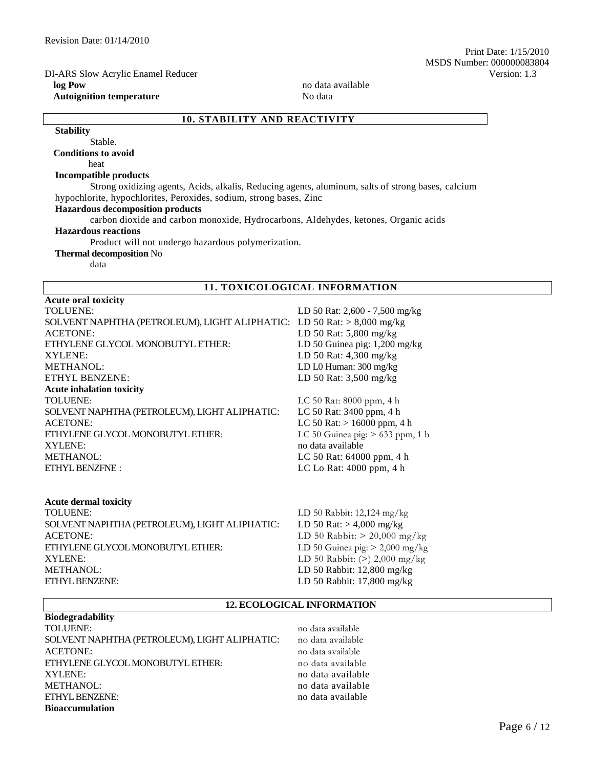**Autoignition temperature** No data

MSDS Number: 000000083804

Print Date: 1/15/2010

**log Pow** no data available

# **10. STABILITY AND REACTIVITY**

**Stability** Stable.

**Conditions to avoid**

heat

#### **Incompatible products**

Strong oxidizing agents, Acids, alkalis, Reducing agents, aluminum, salts of strong bases, calcium hypochlorite, hypochlorites, Peroxides, sodium, strong bases, Zinc

#### **Hazardous decomposition products**

carbon dioxide and carbon monoxide, Hydrocarbons, Aldehydes, ketones, Organic acids

#### **Hazardous reactions**

Product will not undergo hazardous polymerization.

## **Thermal decomposition** No

data

**Acute oral toxicity**

# **11. TOXICOLOGICAL INFORMATION**

| <b>TOLUENE:</b>                                                        | LD 50 Rat: 2,600 - 7,500 mg/kg                                                      |
|------------------------------------------------------------------------|-------------------------------------------------------------------------------------|
| SOLVENT NAPHTHA (PETROLEUM), LIGHT ALIPHATIC: LD 50 Rat: > 8,000 mg/kg |                                                                                     |
| <b>ACETONE:</b>                                                        | LD 50 Rat: 5,800 mg/kg                                                              |
| ETHYLENE GLYCOL MONOBUTYL ETHER:                                       | LD 50 Guinea pig: $1,200$ mg/kg                                                     |
| XYLENE:                                                                | LD 50 Rat: 4,300 mg/kg                                                              |
| <b>METHANOL:</b>                                                       | LD L0 Human: 300 mg/kg                                                              |
| ETHYL BENZENE:                                                         | LD 50 Rat: 3,500 mg/kg                                                              |
| <b>Acute inhalation toxicity</b>                                       |                                                                                     |
| <b>TOLUENE:</b>                                                        | LC 50 Rat: 8000 ppm, 4 h                                                            |
| SOLVENT NAPHTHA (PETROLEUM), LIGHT ALIPHATIC:                          | LC 50 Rat: 3400 ppm, 4 h                                                            |
| <b>ACETONE:</b>                                                        | LC 50 Rat: $> 16000$ ppm, 4 h                                                       |
| ETHYLENE GLYCOL MONOBUTYL ETHER:                                       | LC 50 Guinea pig: $> 633$ ppm, 1 h                                                  |
| XYLENE:                                                                | no data available                                                                   |
| <b>METHANOL:</b>                                                       | LC 50 Rat: 64000 ppm, 4 h                                                           |
| ETHYL BENZFNE:                                                         | LC Lo Rat: 4000 ppm, 4 h                                                            |
| <b>Acute dermal toxicity</b>                                           |                                                                                     |
| TOLUENE:                                                               | LD 50 Rabbit: $12,124$ mg/kg                                                        |
| COLUENT MADITHIA (DETROI EIRA) I ICHT AI IDHATIC.                      | $1 \text{ D}$ 50 $\text{D}_{\text{eff}}$ $\sim 4.000 \text{ m}$ $\alpha$ / $\alpha$ |

SOLVENT NAPHTHA (PETROLEUM), LIGHT ALIPHATIC: LD 50 Rat: > 4,000 mg/kg ACETONE: LD 50 Rabbit: > 20,000 mg/kg ETHYLENE GLYCOL MONOBUTYL ETHER: LD 50 Guinea pig: > 2,000 mg/kg XYLENE: LD 50 Rabbit: (>) 2,000 mg/kg METHANOL: LD 50 Rabbit: 12,800 mg/kg ETHYL BENZENE: LD 50 Rabbit: 17,800 mg/kg

#### **12. ECOLOGICAL INFORMATION**

#### **Biodegradability**

TOLUENE: no data available SOLVENT NAPHTHA (PETROLEUM), LIGHT ALIPHATIC: no data available ACETONE: no data available ETHYLENE GLYCOL MONOBUTYL ETHER: no data available XYLENE: no data available METHANOL: no data available https://www.facebook.com/intervalue.org/intervalue.com/intervalue.org/intervalue.org/intervalue.com/intervalue.com/intervalue.org/intervalue.com/intervalue.com/intervalue.com/intervalue.com/inte ETHYL BENZENE: no data available **Bioaccumulation**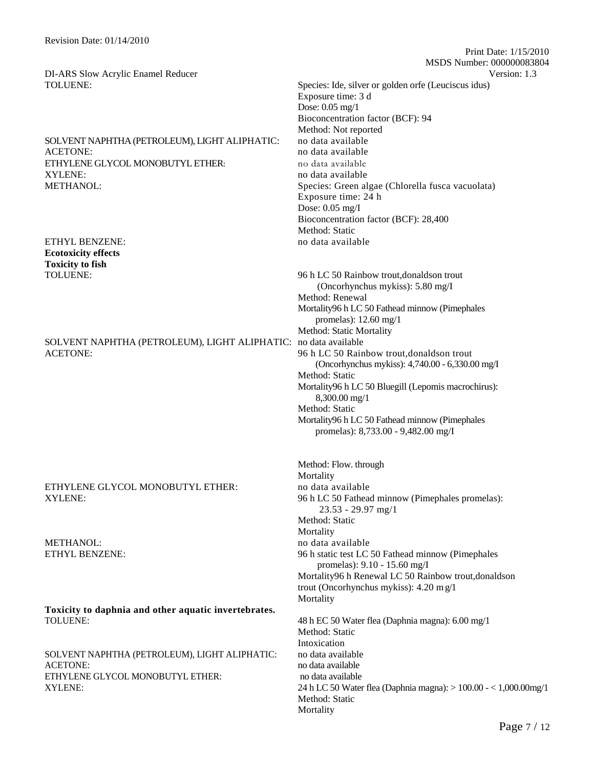# SOLVENT NAPHTHA (PETROLEUM), LIGHT ALIPHATIC: no data available ACETONE: no data available ETHYLENE GLYCOL MONOBUTYL ETHER: no data available XYLENE: no data available no data available

ETHYL BENZENE: no data available in the set of the set of the set of the set of the set of the set of the set of the set of the set of the set of the set of the set of the set of the set of the set of the set of the set of **Ecotoxicity effects Toxicity to fish**

#### SOLVENT NAPHTHA (PETROLEUM), LIGHT ALIPHATIC: no data available ACETONE: 96 h LC 50 Rainbow trout,donaldson trout

# ETHYLENE GLYCOL MONOBUTYL ETHER: no data available

METHANOL: no data available no data available

**Toxicity to daphnia and other aquatic invertebrates.** TOLUENE: 48 h EC 50 Water flea (Daphnia magna): 6.00 mg/1

SOLVENT NAPHTHA (PETROLEUM), LIGHT ALIPHATIC: no data available ACETONE: no data available ETHYLENE GLYCOL MONOBUTYL ETHER: no data available

TOLUENE: Species: Ide, silver or golden orfe (Leuciscus idus) Exposure time: 3 d Dose: 0.05 mg/1 Bioconcentration factor (BCF): 94 Method: Not reported METHANOL: Species: Green algae (Chlorella fusca vacuolata) Exposure time: 24 h Dose: 0.05 mg/I Bioconcentration factor (BCF): 28,400 Method: Static

Print Date: 1/15/2010

MSDS Number: 000000083804

TOLUENE: 96 h LC 50 Rainbow trout,donaldson trout (Oncorhynchus mykiss): 5.80 mg/I Method: Renewal Mortality96 h LC 50 Fathead minnow (Pimephales promelas): 12.60 mg/1 Method: Static Mortality (Oncorhynchus mykiss): 4,740.00 - 6,330.00 mg/I Method: Static Mortality96 h LC 50 Bluegill (Lepomis macrochirus): 8,300.00 mg/1 Method: Static Mortality96 h LC 50 Fathead minnow (Pimephales promelas): 8,733.00 - 9,482.00 mg/I

Method: Flow. through Mortality XYLENE: 96 h LC 50 Fathead minnow (Pimephales promelas): 23.53 - 29.97 mg/1 Method: Static **Mortality** ETHYL BENZENE: 96 h static test LC 50 Fathead minnow (Pimephales promelas): 9.10 - 15.60 mg/I Mortality96 h Renewal LC 50 Rainbow trout,donaldson trout (Oncorhynchus mykiss): 4.20 m g/1 **Mortality** Method: Static Intoxication XYLENE: 24 h LC 50 Water flea (Daphnia magna): > 100.00 - < 1,000.00mg/1 Method: Static Mortality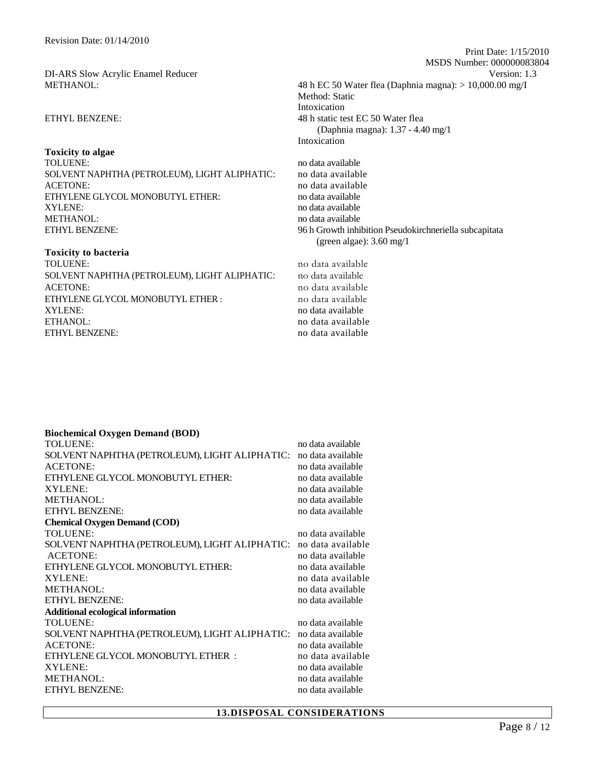**Toxicity to algae** TOLUENE: no data available no data available no data available SOLVENT NAPHTHA (PETROLEUM), LIGHT ALIPHATIC: no data available ACETONE: no data available ETHYLENE GLYCOL MONOBUTYL ETHER: no data available XYLENE:<br>
METHANOL:<br>
METHANOL:<br>
METHANOL: ETHYL BENZENE: 96 h Growth inhibition Pseudokirchneriella subcapitata

#### **Toxicity to bacteria**

TOLUENE: no data available SOLVENT NAPHTHA (PETROLEUM), LIGHT ALIPHATIC: no data available ACETONE:<br>
ETHYLENE GLYCOL MONOBUTYL ETHER : <br>
no data available<br>
no data available ETHYLENE GLYCOL MONOBUTYL ETHER : XYLENE: no data available ETHANOL: no data available ETHYL BENZENE: no data available

 MSDS Number: 000000083804 DI-ARS Slow Acrylic Enamel Reducer Version: 1.3 METHANOL: 48 h EC 50 Water flea (Daphnia magna): > 10,000.00 mg/I Method: Static Intoxication ETHYL BENZENE: 48 h static test EC 50 Water flea (Daphnia magna): 1.37 - 4.40 mg/1 Intoxication

Print Date: 1/15/2010

no data available (green algae): 3.60 mg/1

## **Biochemical Oxygen Demand (BOD)**

| <b>TOLUENE:</b>                               | no data available |
|-----------------------------------------------|-------------------|
| SOLVENT NAPHTHA (PETROLEUM), LIGHT ALIPHATIC: | no data available |
| <b>ACETONE:</b>                               | no data available |
| ETHYLENE GLYCOL MONOBUTYL ETHER:              | no data available |
| XYLENE:                                       | no data available |
| METHANOL:                                     | no data available |
| <b>ETHYL BENZENE:</b>                         | no data available |
| <b>Chemical Oxygen Demand (COD)</b>           |                   |
| <b>TOLUENE:</b>                               | no data available |
| SOLVENT NAPHTHA (PETROLEUM), LIGHT ALIPHATIC: | no data available |
| <b>ACETONE:</b>                               | no data available |
| ETHYLENE GLYCOL MONOBUTYL ETHER:              | no data available |
| XYLENE:                                       | no data available |
| <b>METHANOL:</b>                              | no data available |
| <b>ETHYL BENZENE:</b>                         | no data available |
| <b>Additional ecological information</b>      |                   |
| TOLUENE:                                      | no data available |
| SOLVENT NAPHTHA (PETROLEUM), LIGHT ALIPHATIC: | no data available |
| <b>ACETONE:</b>                               | no data available |
| ETHYLENE GLYCOL MONOBUTYL ETHER :             | no data available |
| XYLENE:                                       | no data available |
| <b>METHANOL:</b>                              | no data available |
| <b>ETHYL BENZENE:</b>                         | no data available |
|                                               |                   |

#### **13.DISPOSAL CONSIDERATIONS**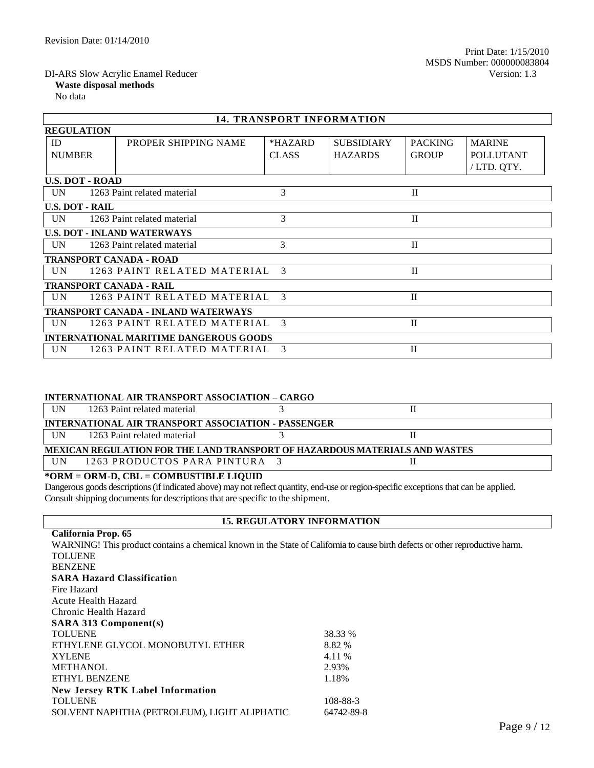## **Waste disposal methods**

No data

| <b>14. TRANSPORT INFORMATION</b>              |                                            |               |                   |                |                  |
|-----------------------------------------------|--------------------------------------------|---------------|-------------------|----------------|------------------|
| <b>REGULATION</b>                             |                                            |               |                   |                |                  |
| ID                                            | PROPER SHIPPING NAME                       | *HAZARD       | <b>SUBSIDIARY</b> | <b>PACKING</b> | <b>MARINE</b>    |
| <b>NUMBER</b>                                 |                                            | <b>CLASS</b>  | <b>HAZARDS</b>    | <b>GROUP</b>   | <b>POLLUTANT</b> |
|                                               |                                            |               |                   |                | /LTD. QTY.       |
| <b>U.S. DOT - ROAD</b>                        |                                            |               |                   |                |                  |
| <b>UN</b>                                     | 1263 Paint related material                | 3             |                   | $\mathbf{I}$   |                  |
| <b>U.S. DOT - RAIL</b>                        |                                            |               |                   |                |                  |
| UN                                            | 1263 Paint related material                | 3             |                   | $\mathbf{I}$   |                  |
|                                               | <b>U.S. DOT - INLAND WATERWAYS</b>         |               |                   |                |                  |
| <b>UN</b>                                     | 1263 Paint related material                | 3             |                   | $\mathbf{I}$   |                  |
| <b>TRANSPORT CANADA - ROAD</b>                |                                            |               |                   |                |                  |
| UN.                                           | 1263 PAINT RELATED MATERIAL                | $\mathcal{R}$ |                   | $\mathbf{I}$   |                  |
| <b>TRANSPORT CANADA - RAIL</b>                |                                            |               |                   |                |                  |
| UN                                            | 1263 PAINT RELATED MATERIAL 3              |               |                   | $\mathbf{I}$   |                  |
|                                               | <b>TRANSPORT CANADA - INLAND WATERWAYS</b> |               |                   |                |                  |
| <b>UN</b>                                     | 1263 PAINT RELATED MATERIAL                | $\mathcal{E}$ |                   | $\mathbf{I}$   |                  |
| <b>INTERNATIONAL MARITIME DANGEROUS GOODS</b> |                                            |               |                   |                |                  |
| <b>UN</b>                                     | 1263 PAINT RELATED MATERIAL                | $\mathcal{E}$ |                   | $\mathbf{I}$   |                  |

#### **INTERNATIONAL AIR TRANSPORT ASSOCIATION – CARGO**

| UN         | 1263 Paint related material                                                 |  |
|------------|-----------------------------------------------------------------------------|--|
|            | INTERNATIONAL AIR TRANSPORT ASSOCIATION - PASSENGER                         |  |
| <b>IIN</b> | 1263 Paint related material                                                 |  |
|            | MEXICAN REGULATION FOR THE LAND TRANSPORT OF HAZARDOUS MATERIALS AND WASTES |  |
| <b>IIN</b> | 1263 PRODUCTOS PARA PINTURA 3                                               |  |

# **\*ORM = ORM-D, CBL = COMBUSTIBLE LIQUID**

Dangerous goods descriptions (if indicated above) may not reflect quantity, end-use or region-specific exceptions that can be applied. Consult shipping documents for descriptions that are specific to the shipment.

## **15. REGULATORY INFORMATION**

| California Prop. 65                                                                                                           |            |
|-------------------------------------------------------------------------------------------------------------------------------|------------|
| WARNING! This product contains a chemical known in the State of California to cause birth defects or other reproductive harm. |            |
| <b>TOLUENE</b>                                                                                                                |            |
| <b>BENZENE</b>                                                                                                                |            |
| <b>SARA Hazard Classification</b>                                                                                             |            |
| Fire Hazard                                                                                                                   |            |
| Acute Health Hazard                                                                                                           |            |
| Chronic Health Hazard                                                                                                         |            |
| SARA 313 Component(s)                                                                                                         |            |
| <b>TOLUENE</b>                                                                                                                | 38.33 %    |
| ETHYLENE GLYCOL MONOBUTYL ETHER                                                                                               | 8.82 %     |
| <b>XYLENE</b>                                                                                                                 | 4.11 %     |
| <b>METHANOL</b>                                                                                                               | 2.93%      |
| ETHYL BENZENE                                                                                                                 | 1.18%      |
| <b>New Jersey RTK Label Information</b>                                                                                       |            |
| <b>TOLUENE</b>                                                                                                                | 108-88-3   |
| SOLVENT NAPHTHA (PETROLEUM), LIGHT ALIPHATIC                                                                                  | 64742-89-8 |
|                                                                                                                               |            |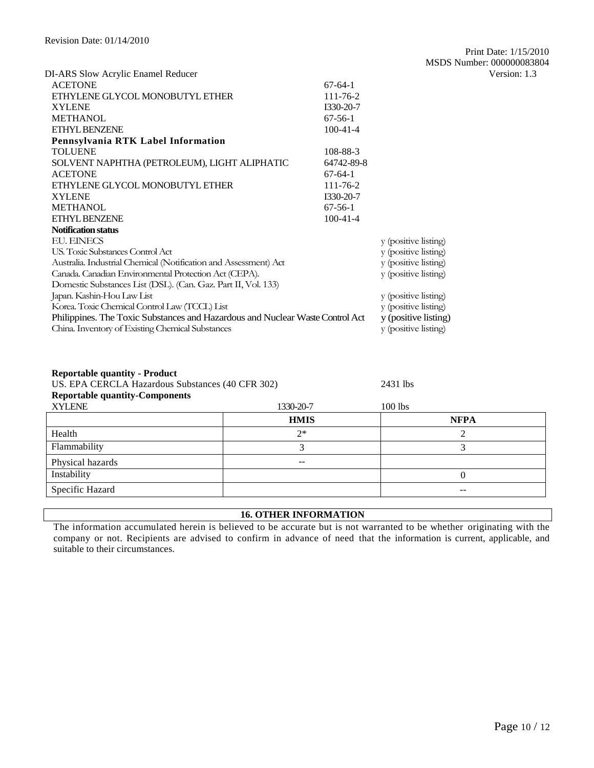|                                                                               |                |                      | MISLIS INHIHUEL, UUUUUUUOSO |
|-------------------------------------------------------------------------------|----------------|----------------------|-----------------------------|
| DI-ARS Slow Acrylic Enamel Reducer                                            |                |                      | Version: 1.3                |
| <b>ACETONE</b>                                                                | $67-64-1$      |                      |                             |
| ETHYLENE GLYCOL MONOBUTYL ETHER                                               | 111-76-2       |                      |                             |
| <b>XYLENE</b>                                                                 | I330-20-7      |                      |                             |
| <b>METHANOL</b>                                                               | $67-56-1$      |                      |                             |
| ETHYL BENZENE                                                                 | $100 - 41 - 4$ |                      |                             |
| Pennsylvania RTK Label Information                                            |                |                      |                             |
| <b>TOLUENE</b>                                                                | 108-88-3       |                      |                             |
| SOLVENT NAPHTHA (PETROLEUM), LIGHT ALIPHATIC                                  | 64742-89-8     |                      |                             |
| <b>ACETONE</b>                                                                | $67-64-1$      |                      |                             |
| ETHYLENE GLYCOL MONOBUTYL ETHER                                               | $111 - 76 - 2$ |                      |                             |
| <b>XYLENE</b>                                                                 | I330-20-7      |                      |                             |
| <b>METHANOL</b>                                                               | $67-56-1$      |                      |                             |
| <b>ETHYL BENZENE</b>                                                          | $100 - 41 - 4$ |                      |                             |
| <b>Notification status</b>                                                    |                |                      |                             |
| <b>EU. EINECS</b>                                                             |                | y (positive listing) |                             |
| U.S. Toxic Substances Control Act.                                            |                | y (positive listing) |                             |
| Australia. Industrial Chemical (Notification and Assessment) Act              |                | y (positive listing) |                             |
| Canada. Canadian Environmental Protection Act (CEPA).                         |                | y (positive listing) |                             |
| Domestic Substances List (DSL). (Can. Gaz. Part II, Vol. 133)                 |                |                      |                             |
| Japan. Kashin-Hou Law List                                                    |                | y (positive listing) |                             |
| Korea. Toxic Chemical Control Law (TCCL) List                                 |                | y (positive listing) |                             |
| Philippines. The Toxic Substances and Hazardous and Nuclear Waste Control Act |                | y (positive listing) |                             |
| China. Inventory of Existing Chemical Substances                              |                | y (positive listing) |                             |
|                                                                               |                |                      |                             |
|                                                                               |                |                      |                             |
|                                                                               |                |                      |                             |

### **Reportable quantity - Product**

| Reportable quantity - I Founce<br>US. EPA CERCLA Hazardous Substances (40 CFR 302) |             | 2431 lbs    |
|------------------------------------------------------------------------------------|-------------|-------------|
| <b>Reportable quantity-Components</b>                                              |             |             |
| <b>XYLENE</b>                                                                      | 1330-20-7   | $100$ lbs   |
|                                                                                    | <b>HMIS</b> | <b>NFPA</b> |
| Health                                                                             | $2*$        |             |
| Flammability                                                                       |             |             |
| Physical hazards                                                                   | --          |             |
| Instability                                                                        |             | 0           |
| Specific Hazard                                                                    |             | --          |

# **16. OTHER INFORMATION**

The information accumulated herein is believed to be accurate but is not warranted to be whether originating with the company or not. Recipients are advised to confirm in advance of need that the information is current, applicable, and suitable to their circumstances.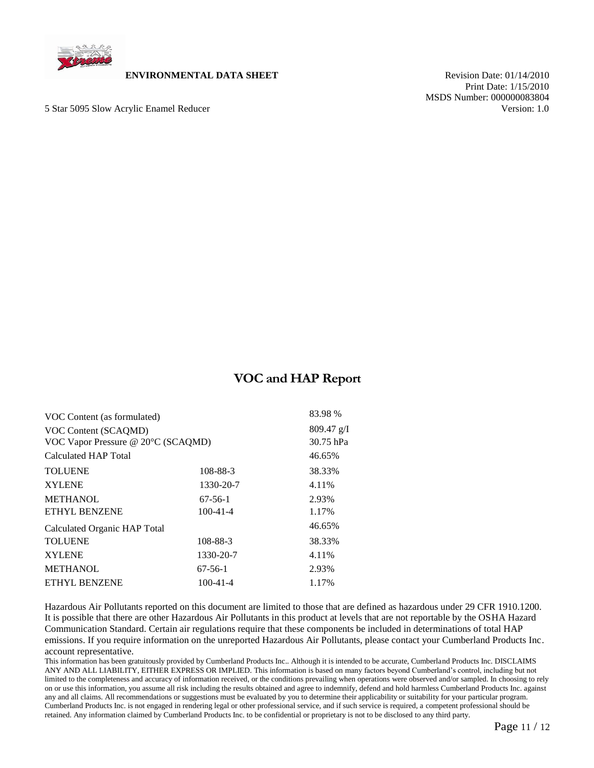

#### **ENVIRONMENTAL DATA SHEET** Revision Date: 01/14/2010

5 Star 5095 Slow Acrylic Enamel Reducer Version: 1.0

 Print Date: 1/15/2010 MSDS Number: 000000083804

# **VOC and HAP Report**

| VOC Content (as formulated)        |                | 83.98 %    |
|------------------------------------|----------------|------------|
| VOC Content (SCAQMD)               |                | 809.47 g/I |
| VOC Vapor Pressure @ 20°C (SCAQMD) |                | 30.75 hPa  |
| Calculated HAP Total               |                | 46.65%     |
| <b>TOLUENE</b>                     | 108-88-3       | 38.33%     |
| <b>XYLENE</b>                      | 1330-20-7      | 4.11%      |
| <b>METHANOL</b>                    | $67-56-1$      | 2.93%      |
| <b>ETHYL BENZENE</b>               | $100 - 41 - 4$ | 1.17%      |
| Calculated Organic HAP Total       |                | 46.65%     |
| <b>TOLUENE</b>                     | 108-88-3       | 38.33%     |
| <b>XYLENE</b>                      | 1330-20-7      | 4.11%      |
| <b>METHANOL</b>                    | $67-56-1$      | 2.93%      |
| <b>ETHYL BENZENE</b>               | $100 - 41 - 4$ | 1.17%      |
|                                    |                |            |

Hazardous Air Pollutants reported on this document are limited to those that are defined as hazardous under 29 CFR 1910.1200. It is possible that there are other Hazardous Air Pollutants in this product at levels that are not reportable by the OSHA Hazard Communication Standard. Certain air regulations require that these components be included in determinations of total HAP emissions. If you require information on the unreported Hazardous Air Pollutants, please contact your Cumberland Products Inc. account representative.

This information has been gratuitously provided by Cumberland Products Inc.. Although it is intended to be accurate, Cumberland Products Inc. DISCLAIMS ANY AND ALL LIABILITY, EITHER EXPRESS OR IMPLIED. This information is based on many factors beyond Cumberland's control, including but not limited to the completeness and accuracy of information received, or the conditions prevailing when operations were observed and/or sampled. In choosing to rely on or use this information, you assume all risk including the results obtained and agree to indemnify, defend and hold harmless Cumberland Products Inc. against any and all claims. All recommendations or suggestions must be evaluated by you to determine their applicability or suitability for your particular program. Cumberland Products Inc. is not engaged in rendering legal or other professional service, and if such service is required, a competent professional should be retained. Any information claimed by Cumberland Products Inc. to be confidential or proprietary is not to be disclosed to any third party.